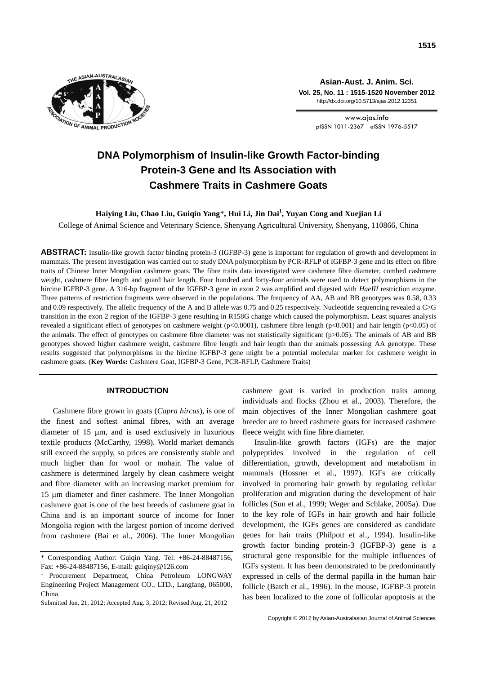

**Asian-Aust. J. Anim. Sci. Vol. 25, No. 11 : 1515-1520 November 2012** http://dx.doi.org/10.5713/ajas.2012.12351

> www.ajas.info pISSN 1011-2367 eISSN 1976-5517

# **DNA Polymorphism of Insulin-like Growth Factor-binding Protein-3 Gene and Its Association with Cashmere Traits in Cashmere Goats**

## **Haiying Liu, Chao Liu, Guiqin Yang**\***, Hui Li, Jin Dai<sup>1</sup> , Yuyan Cong and Xuejian Li**

College of Animal Science and Veterinary Science, Shenyang Agricultural University, Shenyang, 110866, China

**ABSTRACT:** Insulin-like growth factor binding protein-3 (IGFBP-3) gene is important for regulation of growth and development in mammals. The present investigation was carried out to study DNA polymorphism by PCR-RFLP of IGFBP-3 gene and its effect on fibre traits of Chinese Inner Mongolian cashmere goats. The fibre traits data investigated were cashmere fibre diameter, combed cashmere weight, cashmere fibre length and guard hair length. Four hundred and forty-four animals were used to detect polymorphisms in the hircine IGFBP-3 gene. A 316-bp fragment of the IGFBP-3 gene in exon 2 was amplified and digested with *HaeIII* restriction enzyme. Three patterns of restriction fragments were observed in the populations. The frequency of AA, AB and BB genotypes was 0.58, 0.33 and 0.09 respectively. The allelic frequency of the A and B allele was 0.75 and 0.25 respectively. Nucleotide sequencing revealed a C>G transition in the exon 2 region of the IGFBP-3 gene resulting in R158G change which caused the polymorphism. Least squares analysis revealed a significant effect of genotypes on cashmere weight (p<0.0001), cashmere fibre length (p<0.001) and hair length (p<0.05) of the animals. The effect of genotypes on cashmere fibre diameter was not statistically significant (p>0.05). The animals of AB and BB genotypes showed higher cashmere weight, cashmere fibre length and hair length than the animals possessing AA genotype. These results suggested that polymorphisms in the hircine IGFBP-3 gene might be a potential molecular marker for cashmere weight in cashmere goats. (**Key Words:** Cashmere Goat, IGFBP-3 Gene, PCR-RFLP, Cashmere Traits)

## **INTRODUCTION**

Cashmere fibre grown in goats (*Capra hircus*), is one of the finest and softest animal fibres, with an average diameter of  $15 \mu m$ , and is used exclusively in luxurious textile products (McCarthy, 1998). World market demands still exceed the supply, so prices are consistently stable and much higher than for wool or mohair. The value of cashmere is determined largely by clean cashmere weight and fibre diameter with an increasing market premium for 15 µm diameter and finer cashmere. The Inner Mongolian cashmere goat is one of the best breeds of cashmere goat in China and is an important source of income for Inner Mongolia region with the largest portion of income derived from cashmere (Bai et al., 2006). The Inner Mongolian

cashmere goat is varied in production traits among individuals and flocks (Zhou et al., 2003). Therefore, the main objectives of the Inner Mongolian cashmere goat breeder are to breed cashmere goats for increased cashmere fleece weight with fine fibre diameter.

Insulin-like growth factors (IGFs) are the major polypeptides involved in the regulation of cell differentiation, growth, development and metabolism in mammals (Hossner et al., 1997). IGFs are critically involved in promoting hair growth by regulating cellular proliferation and migration during the development of hair follicles (Sun et al., 1999; Weger and Schlake, 2005a). Due to the key role of IGFs in hair growth and hair follicle development, the IGFs genes are considered as candidate genes for hair traits (Philpott et al., 1994). Insulin-like growth factor binding protein-3 (IGFBP-3) gene is a structural gene responsible for the multiple influences of IGFs system. It has been demonstrated to be predominantly expressed in cells of the dermal papilla in the human hair follicle (Batch et al., 1996). In the mouse, IGFBP-3 protein has been localized to the zone of follicular apoptosis at the

<sup>\*</sup> Corresponding Author: Guiqin Yang. Tel: +86-24-88487156, Fax: +86-24-88487156, E-mail: guiqiny@126.com

<sup>1</sup>Procurement Department, China Petroleum LONGWAY Engineering Project Management CO., LTD., Langfang, 065000, China.

Submitted Jun. 21, 2012; Accepted Aug. 3, 2012; Revised Aug. 21, 2012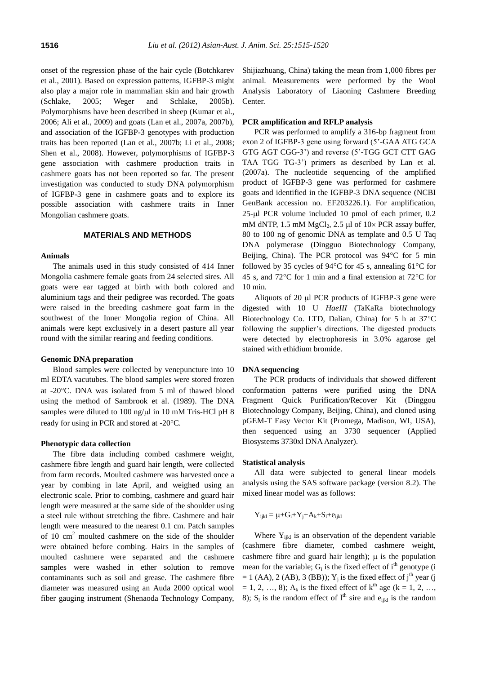onset of the regression phase of the hair cycle (Botchkarev et al., 2001). Based on expression patterns, IGFBP-3 might also play a major role in mammalian skin and hair growth (Schlake, 2005; Weger and Schlake, 2005b). Polymorphisms have been described in sheep (Kumar et al., 2006; Ali et al., 2009) and goats (Lan et al., 2007a, 2007b), and association of the IGFBP-3 genotypes with production traits has been reported (Lan et al., 2007b; Li et al., 2008; Shen et al., 2008). However, polymorphisms of IGFBP-3 gene association with cashmere production traits in cashmere goats has not been reported so far. The present investigation was conducted to study DNA polymorphism of IGFBP-3 gene in cashmere goats and to explore its possible association with cashmere traits in Inner Mongolian cashmere goats.

## **MATERIALS AND METHODS**

#### **Animals**

The animals used in this study consisted of 414 Inner Mongolia cashmere female goats from 24 selected sires. All goats were ear tagged at birth with both colored and aluminium tags and their pedigree was recorded. The goats were raised in the breeding cashmere goat farm in the southwest of the Inner Mongolia region of China. All animals were kept exclusively in a desert pasture all year round with the similar rearing and feeding conditions.

#### **Genomic DNA preparation**

Blood samples were collected by venepuncture into 10 ml EDTA vacutubes. The blood samples were stored frozen at -20C. DNA was isolated from 5 ml of thawed blood using the method of Sambrook et al. (1989). The DNA samples were diluted to 100 ng/ $\mu$ l in 10 mM Tris-HCl pH 8 ready for using in PCR and stored at -20°C.

#### **Phenotypic data collection**

The fibre data including combed cashmere weight, cashmere fibre length and guard hair length, were collected from farm records. Moulted cashmere was harvested once a year by combing in late April, and weighed using an electronic scale. Prior to combing, cashmere and guard hair length were measured at the same side of the shoulder using a steel rule without stretching the fibre. Cashmere and hair length were measured to the nearest 0.1 cm. Patch samples of 10 cm<sup>2</sup> moulted cashmere on the side of the shoulder were obtained before combing. Hairs in the samples of moulted cashmere were separated and the cashmere samples were washed in ether solution to remove contaminants such as soil and grease. The cashmere fibre diameter was measured using an Auda 2000 optical wool fiber gauging instrument (Shenaoda Technology Company,

Shijiazhuang, China) taking the mean from 1,000 fibres per animal. Measurements were performed by the Wool Analysis Laboratory of Liaoning Cashmere Breeding Center.

#### **PCR amplification and RFLP analysis**

PCR was performed to amplify a 316-bp fragment from exon 2 of IGFBP-3 gene using forward (5'-GAA ATG GCA GTG AGT CGG-3') and reverse (5'-TGG GCT CTT GAG TAA TGG TG-3') primers as described by Lan et al. (2007a). The nucleotide sequencing of the amplified product of IGFBP-3 gene was performed for cashmere goats and identified in the IGFBP-3 DNA sequence (NCBI GenBank accession no. EF203226.1). For amplification, 25-µl PCR volume included 10 pmol of each primer, 0.2 mM dNTP, 1.5 mM  $MgCl<sub>2</sub>$ , 2.5 µl of 10× PCR assay buffer, 80 to 100 ng of genomic DNA as template and 0.5 U Taq DNA polymerase (Dingguo Biotechnology Company, Beijing, China). The PCR protocol was  $94^{\circ}$ C for 5 min followed by 35 cycles of 94 $\degree$ C for 45 s, annealing 61 $\degree$ C for 45 s, and 72 $\degree$ C for 1 min and a final extension at 72 $\degree$ C for 10 min.

Aliquots of  $20 \mu$  PCR products of IGFBP-3 gene were digested with 10 U *HaeIII* (TaKaRa biotechnology Biotechnology Co. LTD, Dalian, China) for 5 h at 37°C following the supplier's directions. The digested products were detected by electrophoresis in 3.0% agarose gel stained with ethidium bromide.

#### **DNA sequencing**

The PCR products of individuals that showed different conformation patterns were purified using the DNA Fragment Quick Purification/Recover Kit (Dinggou Biotechnology Company, Beijing, China), and cloned using pGEM-T Easy Vector Kit (Promega, Madison, WI, USA), then sequenced using an 3730 sequencer (Applied Biosystems 3730xl DNA Analyzer).

#### **Statistical analysis**

All data were subjected to general linear models analysis using the SAS software package (version 8.2). The mixed linear model was as follows:

$$
Y_{ijkl} = \mu + G_i + Y_j + A_k + S_l + e_{ijkl}
$$

Where  $Y_{ijkl}$  is an observation of the dependent variable (cashmere fibre diameter, combed cashmere weight, cashmere fibre and guard hair length);  $\mu$  is the population mean for the variable;  $G_i$  is the fixed effect of i<sup>th</sup> genotype (i  $= 1$  (AA), 2 (AB), 3 (BB)); Y<sub>j</sub> is the fixed effect of j<sup>th</sup> year (j  $= 1, 2, ..., 8$ ); A<sub>k</sub> is the fixed effect of k<sup>th</sup> age (k = 1, 2, …, 8);  $S_1$  is the random effect of  $l<sup>th</sup>$  sire and  $e_{ijkl}$  is the random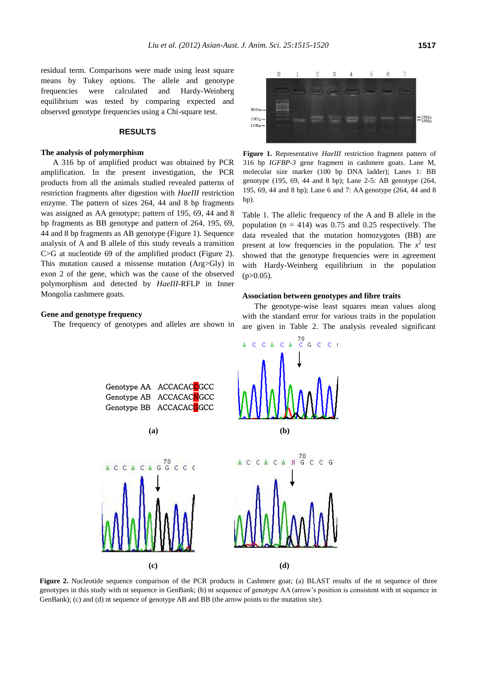residual term. Comparisons were made using least square means by Tukey options. The allele and genotype frequencies were calculated and Hardy-Weinberg equilibrium was tested by comparing expected and observed genotype frequencies using a Chi-square test.

### **RESULTS**

#### **The analysis of polymorphism**

A 316 bp of amplified product was obtained by PCR amplification. In the present investigation, the PCR products from all the animals studied revealed patterns of restriction fragments after digestion with *HaeIII* restriction enzyme. The pattern of sizes 264, 44 and 8 bp fragments was assigned as AA genotype; pattern of 195, 69, 44 and 8 bp fragments as BB genotype and pattern of 264, 195, 69, 44 and 8 bp fragments as AB genotype (Figure 1). Sequence analysis of A and B allele of this study reveals a transition C>G at nucleotide 69 of the amplified product (Figure 2). This mutation caused a missense mutation (Arg>Gly) in exon 2 of the gene, which was the cause of the observed polymorphism and detected by *HaeIII*-RFLP in Inner Mongolia cashmere goats.

## **Gene and genotype frequency**

The frequency of genotypes and alleles are shown in



**Figure 1.** Representative *HaeIII* restriction fragment pattern of 316 bp *IGFBP-3* gene fragment in cashmere goats. Lane M, molecular size marker (100 bp DNA ladder); Lanes 1: BB genotype (195, 69, 44 and 8 bp); Lane 2-5: AB genotype (264, 195, 69, 44 and 8 bp); Lane 6 and 7: AA genotype (264, 44 and 8 bp).

Table 1. The allelic frequency of the A and B allele in the population ( $n = 414$ ) was 0.75 and 0.25 respectively. The data revealed that the mutation homozygotes (BB) are present at low frequencies in the population. The  $x^2$  test showed that the genotype frequencies were in agreement with Hardy-Weinberg equilibrium in the population  $(p>0.05)$ .

#### **Association between genotypes and fibre traits**

The genotype-wise least squares mean values along with the standard error for various traits in the population are given in Table 2. The analysis revealed significant



Figure 2. Nucleotide sequence comparison of the PCR products in Cashmere goat; (a) BLAST results of the nt sequence of three genotypes in this study with nt sequence in GenBank; (b) nt sequence of genotype AA (arrow's position is consistent with nt sequence in GenBank); (c) and (d) nt sequence of genotype AB and BB (the arrow points to the mutation site).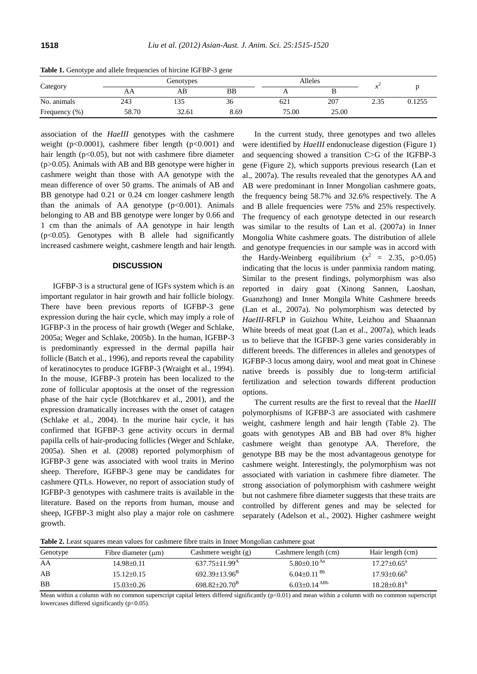| . .<br>Category | $\sim$<br>Genotypes |               |      | Alleles |       |      |        |
|-----------------|---------------------|---------------|------|---------|-------|------|--------|
|                 | ΑA                  | AB            | BB   | . .     |       |      |        |
| No. animals     | 243                 | $\sim$<br>133 | 36   | 621     | 207   | 2.35 | 0.1255 |
| Frequency (%)   | 58.70               | 32.61         | 8.69 | 75.00   | 25.00 |      |        |

**Table 1.** Genotype and allele frequencies of hircine IGFBP-3 gene

association of the *HaeIII* genotypes with the cashmere weight (p<0.0001), cashmere fiber length (p<0.001) and hair length ( $p<0.05$ ), but not with cashmere fibre diameter (p>0.05). Animals with AB and BB genotype were higher in cashmere weight than those with AA genotype with the mean difference of over 50 grams. The animals of AB and BB genotype had 0.21 or 0.24 cm longer cashmere length than the animals of AA genotype  $(p<0.001)$ . Animals belonging to AB and BB genotype were longer by 0.66 and 1 cm than the animals of AA genotype in hair length  $(p<0.05)$ . Genotypes with B allele had significantly increased cashmere weight, cashmere length and hair length.

## **DISCUSSION**

IGFBP-3 is a structural gene of IGFs system which is an important regulator in hair growth and hair follicle biology. There have been previous reports of IGFBP-3 gene expression during the hair cycle, which may imply a role of IGFBP-3 in the process of hair growth (Weger and Schlake, 2005a; Weger and Schlake, 2005b). In the human, IGFBP-3 is predominantly expressed in the dermal papilla hair follicle (Batch et al., 1996), and reports reveal the capability of keratinocytes to produce IGFBP-3 (Wraight et al., 1994). In the mouse, IGFBP-3 protein has been localized to the zone of follicular apoptosis at the onset of the regression phase of the hair cycle (Botchkarev et al., 2001), and the expression dramatically increases with the onset of catagen (Schlake et al., 2004). In the murine hair cycle, it has confirmed that IGFBP-3 gene activity occurs in dermal papilla cells of hair-producing follicles (Weger and Schlake, 2005a). Shen et al. (2008) reported polymorphism of IGFBP-3 gene was associated with wool traits in Merino sheep. Therefore, IGFBP-3 gene may be candidates for cashmere QTLs. However, no report of association study of IGFBP-3 genotypes with cashmere traits is available in the literature. Based on the reports from human, mouse and sheep, IGFBP-3 might also play a major role on cashmere growth.

In the current study, three genotypes and two alleles were identified by *HaeIII* endonuclease digestion (Figure 1) and sequencing showed a transition C>G of the IGFBP-3 gene (Figure 2), which supports previous research (Lan et al., 2007a). The results revealed that the genotypes AA and AB were predominant in Inner Mongolian cashmere goats, the frequency being 58.7% and 32.6% respectively. The A and B allele frequencies were 75% and 25% respectively. The frequency of each genotype detected in our research was similar to the results of Lan et al. (2007a) in Inner Mongolia White cashmere goats. The distribution of allele and genotype frequencies in our sample was in accord with the Hardy-Weinberg equilibrium  $(x^2 = 2.35, p > 0.05)$ indicating that the locus is under panmixia random mating. Similar to the present findings, polymorphism was also reported in dairy goat (Xinong Sannen, Laoshan, Guanzhong) and Inner Mongila White Cashmere breeds (Lan et al., 2007a). No polymorphism was detected by *HaeIII*-RFLP in Guizhou White, Leizhou and Shaannan White breeds of meat goat (Lan et al., 2007a), which leads us to believe that the IGFBP-3 gene varies considerably in different breeds. The differences in alleles and genotypes of IGFBP-3 locus among dairy, wool and meat goat in Chinese native breeds is possibly due to long-term artificial fertilization and selection towards different production options.

The current results are the first to reveal that the *HaeIII* polymorphisms of IGFBP-3 are associated with cashmere weight, cashmere length and hair length (Table 2). The goats with genotypes AB and BB had over 8% higher cashmere weight than genotype AA. Therefore, the genotype BB may be the most advantageous genotype for cashmere weight. Interestingly, the polymorphism was not associated with variation in cashmere fibre diameter. The strong association of polymorphism with cashmere weight but not cashmere fibre diameter suggests that these traits are controlled by different genes and may be selected for separately (Adelson et al., 2002). Higher cashmere weight

**Table 2.** Least squares mean values for cashmere fibre traits in Inner Mongolian cashmere goat

| Genotype | Fibre diameter $(\mu m)$ | Cashmere weight $(g)$           | Cashmere length (cm)          | Hair length (cm)              |  |  |  |  |
|----------|--------------------------|---------------------------------|-------------------------------|-------------------------------|--|--|--|--|
| AA       | $14.98 \pm 0.11$         | $637.75 \pm 11.99$ <sup>A</sup> | $5.80 \pm 0.10$ <sup>Aa</sup> | $17.27 \pm 0.65^{\mathrm{a}}$ |  |  |  |  |
| AB       | $15.12\pm0.15$           | $692.39 \pm 13.96^B$            | $6.04 \pm 0.11^{ Bb}$         | $17.93 \pm 0.66^{\circ}$      |  |  |  |  |
| BB       | 15.03±0.26               | $698.82 \pm 20.70^8$            | $6.03\pm0.14$ <sup>ABb</sup>  | $18.28 \pm 0.81^{\rm b}$      |  |  |  |  |

Mean within a column with no common superscript capital letters differed significantly  $(p<0.01)$  and mean within a column with no common superscript lowercases differed significantly (p<0.05).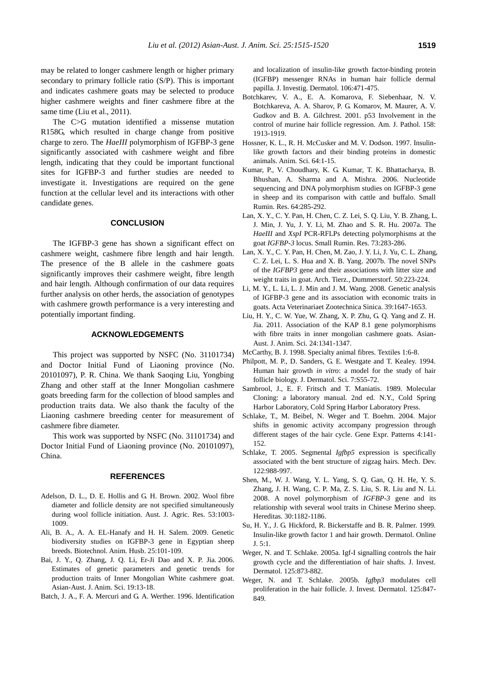may be related to longer cashmere length or higher primary secondary to primary follicle ratio (S/P). This is important and indicates cashmere goats may be selected to produce higher cashmere weights and finer cashmere fibre at the same time (Liu et al., 2011).

The C>G mutation identified a missense mutation R158G, which resulted in charge change from positive charge to zero. The *HaeIII* polymorphism of IGFBP-3 gene significantly associated with cashmere weight and fibre length, indicating that they could be important functional sites for IGFBP-3 and further studies are needed to investigate it. Investigations are required on the gene function at the cellular level and its interactions with other candidate genes.

## **CONCLUSION**

The IGFBP-3 gene has shown a significant effect on cashmere weight, cashmere fibre length and hair length. The presence of the B allele in the cashmere goats significantly improves their cashmere weight, fibre length and hair length. Although confirmation of our data requires further analysis on other herds, the association of genotypes with cashmere growth performance is a very interesting and potentially important finding.

#### **ACKNOWLEDGEMENTS**

This project was supported by NSFC (No. 31101734) and Doctor Initial Fund of Liaoning province (No. 20101097), P. R. China. We thank Saoqing Liu, Yongbing Zhang and other staff at the Inner Mongolian cashmere goats breeding farm for the collection of blood samples and production traits data. We also thank the faculty of the Liaoning cashmere breeding center for measurement of cashmere fibre diameter.

This work was supported by NSFC (No. 31101734) and Doctor Initial Fund of Liaoning province (No. 20101097), China.

## **REFERENCES**

- Adelson, D. L., D. E. Hollis and G. H. Brown. 2002. Wool fibre diameter and follicle density are not specified simultaneously during wool follicle initiation. Aust. J. Agric. Res. 53:1003- 1009.
- Ali, B. A., A. A. EL-Hanafy and H. H. Salem. 2009. Genetic biodiversity studies on IGFBP-3 gene in Egyptian sheep breeds. Biotechnol. Anim. Husb. 25:101-109.
- Bai, J. Y., Q. Zhang, J. Q. Li, Er-Ji Dao and X. P. Jia. 2006. Estimates of genetic parameters and genetic trends for production traits of Inner Mongolian White cashmere goat. Asian-Aust. J. Anim. Sci. 19:13-18.
- Batch, J. A., F. A. Mercuri and G. A. Werther. 1996. Identification

and localization of insulin-like growth factor-binding protein (IGFBP) messenger RNAs in human hair follicle dermal papilla. J. Investig. Dermatol. 106:471-475.

- Botchkarev, V. A., E. A. Komarova, F. Siebenhaar, N. V. Botchkareva, A. A. Sharov, P. G. Komarov, M. Maurer, A. V. Gudkov and B. A. Gilchrest. 2001. p53 Involvement in the control of murine hair follicle regression. Am. J. Pathol. 158: 1913-1919.
- Hossner, K. L., R. H. McCusker and M. V. Dodson. 1997. Insulinlike growth factors and their binding proteins in domestic animals. Anim. Sci. 64:1-15.
- Kumar, P., V. Choudhary, K. G. Kumar, T. K. Bhattacharya, B. Bhushan, A. Sharma and A. Mishra. 2006. Nucleotide sequencing and DNA polymorphism studies on IGFBP-3 gene in sheep and its comparison with cattle and buffalo. Small Rumin. Res. 64:285-292.
- Lan, X. Y., C. Y. Pan, H. Chen, C. Z. Lei, S. Q. Liu, Y. B. Zhang, L. J. Min, J. Yu, J. Y. Li, M. Zhao and S. R. Hu. 2007a. The *HaeIII* and *XspI* PCR-RFLPs detecting polymorphisms at the goat *IGFBP-3* locus. Small Rumin. Res. 73:283-286.
- Lan, X. Y., C. Y. Pan, H. Chen, M. Zao, J. Y. Li, J. Yu, C. L. Zhang, C. Z. Lei, L. S. Hua and X. B. Yang. 2007b. The novel SNPs of the *IGFBP3* gene and their associations with litter size and weight traits in goat. Arch. Tierz., Dummerstorf. 50:223-224.
- Li, M. Y., L. Li, L. J. Min and J. M. Wang. 2008. Genetic analysis of IGFBP-3 gene and its association with economic traits in goats. Acta Veterinariaet Zootechnica Sinica. 39:1647-1653.
- Liu, H. Y., C. W. Yue, W. Zhang, X. P. Zhu, G. Q. Yang and Z. H. Jia. 2011. Association of the KAP 8.1 gene polymorphisms with fibre traits in inner mongolian cashmere goats. Asian-Aust. J. Anim. Sci. 24:1341-1347.
- McCarthy, B. J. 1998. Specialty animal fibres. Textiles 1:6-8.
- Philpott, M. P., D. Sanders, G. E. Westgate and T. Kealey. 1994. Human hair growth *in vitro*: a model for the study of hair follicle biology. J. Dermatol. Sci. 7:S55-72.
- Sambrool, J., E. F. Fritsch and T. Maniatis. 1989. Molecular Cloning: a laboratory manual. 2nd ed. N.Y., Cold Spring Harbor Laboratory, Cold Spring Harbor Laboratory Press.
- Schlake, T., M. Beibel, N. Weger and T. Boehm. 2004. Major shifts in genomic activity accompany progression through different stages of the hair cycle. Gene Expr. Patterns 4:141- 152.
- Schlake, T. 2005. Segmental *Igfbp5* expression is specifically associated with the bent structure of zigzag hairs. Mech. Dev. 122:988-997.
- Shen, M., W. J. Wang, Y. L. Yang, S. Q. Gan, Q. H. He, Y. S. Zhang, J. H. Wang, C. P. Ma, Z. S. Liu, S. R. Liu and N. Li. 2008. A novel polymorphism of *IGFBP-3* gene and its relationship with several wool traits in Chinese Merino sheep. Hereditas. 30:1182-1186.
- Su, H. Y., J. G. Hickford, R. Bickerstaffe and B. R. Palmer. 1999. Insulin-like growth factor 1 and hair growth. Dermatol. Online J. 5:1.
- Weger, N. and T. Schlake. 2005a. Igf-I signalling controls the hair growth cycle and the differentiation of hair shafts. J. Invest. Dermatol. 125:873-882.
- Weger, N. and T. Schlake. 2005b. *Igfbp3* modulates cell proliferation in the hair follicle. J. Invest. Dermatol. 125:847- 849.